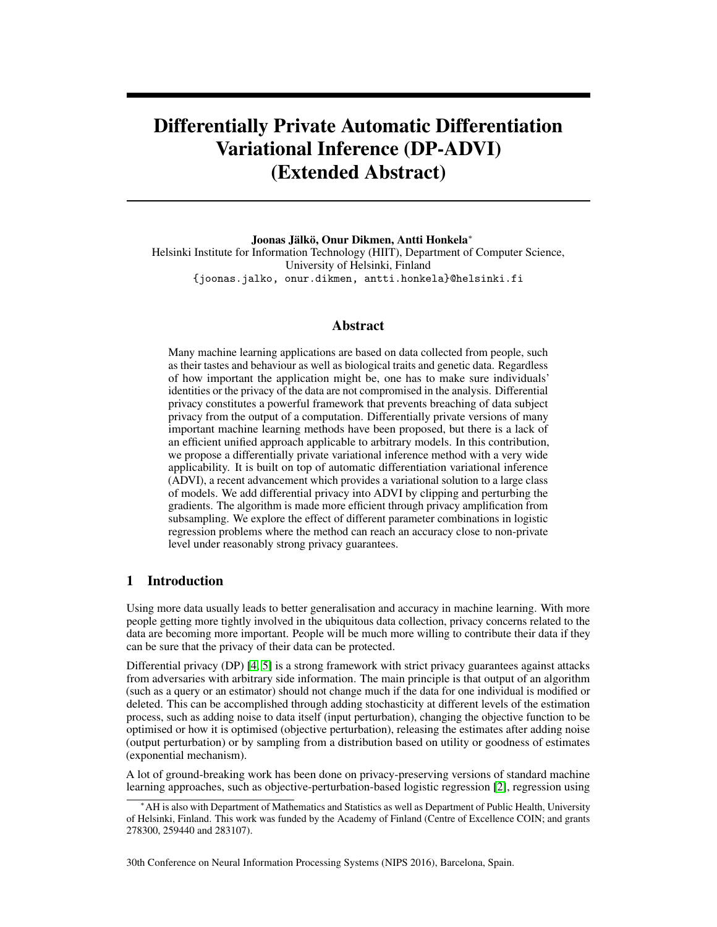# Differentially Private Automatic Differentiation Variational Inference (DP-ADVI) (Extended Abstract)

Joonas Jälkö, Onur Dikmen, Antti Honkela<sup>∗</sup>

Helsinki Institute for Information Technology (HIIT), Department of Computer Science, University of Helsinki, Finland {joonas.jalko, onur.dikmen, antti.honkela}@helsinki.fi

## Abstract

Many machine learning applications are based on data collected from people, such as their tastes and behaviour as well as biological traits and genetic data. Regardless of how important the application might be, one has to make sure individuals' identities or the privacy of the data are not compromised in the analysis. Differential privacy constitutes a powerful framework that prevents breaching of data subject privacy from the output of a computation. Differentially private versions of many important machine learning methods have been proposed, but there is a lack of an efficient unified approach applicable to arbitrary models. In this contribution, we propose a differentially private variational inference method with a very wide applicability. It is built on top of automatic differentiation variational inference (ADVI), a recent advancement which provides a variational solution to a large class of models. We add differential privacy into ADVI by clipping and perturbing the gradients. The algorithm is made more efficient through privacy amplification from subsampling. We explore the effect of different parameter combinations in logistic regression problems where the method can reach an accuracy close to non-private level under reasonably strong privacy guarantees.

#### 1 Introduction

Using more data usually leads to better generalisation and accuracy in machine learning. With more people getting more tightly involved in the ubiquitous data collection, privacy concerns related to the data are becoming more important. People will be much more willing to contribute their data if they can be sure that the privacy of their data can be protected.

Differential privacy (DP) [\[4,](#page-4-0) [5\]](#page-4-1) is a strong framework with strict privacy guarantees against attacks from adversaries with arbitrary side information. The main principle is that output of an algorithm (such as a query or an estimator) should not change much if the data for one individual is modified or deleted. This can be accomplished through adding stochasticity at different levels of the estimation process, such as adding noise to data itself (input perturbation), changing the objective function to be optimised or how it is optimised (objective perturbation), releasing the estimates after adding noise (output perturbation) or by sampling from a distribution based on utility or goodness of estimates (exponential mechanism).

A lot of ground-breaking work has been done on privacy-preserving versions of standard machine learning approaches, such as objective-perturbation-based logistic regression [\[2\]](#page-4-2), regression using

30th Conference on Neural Information Processing Systems (NIPS 2016), Barcelona, Spain.

<sup>∗</sup>AH is also with Department of Mathematics and Statistics as well as Department of Public Health, University of Helsinki, Finland. This work was funded by the Academy of Finland (Centre of Excellence COIN; and grants 278300, 259440 and 283107).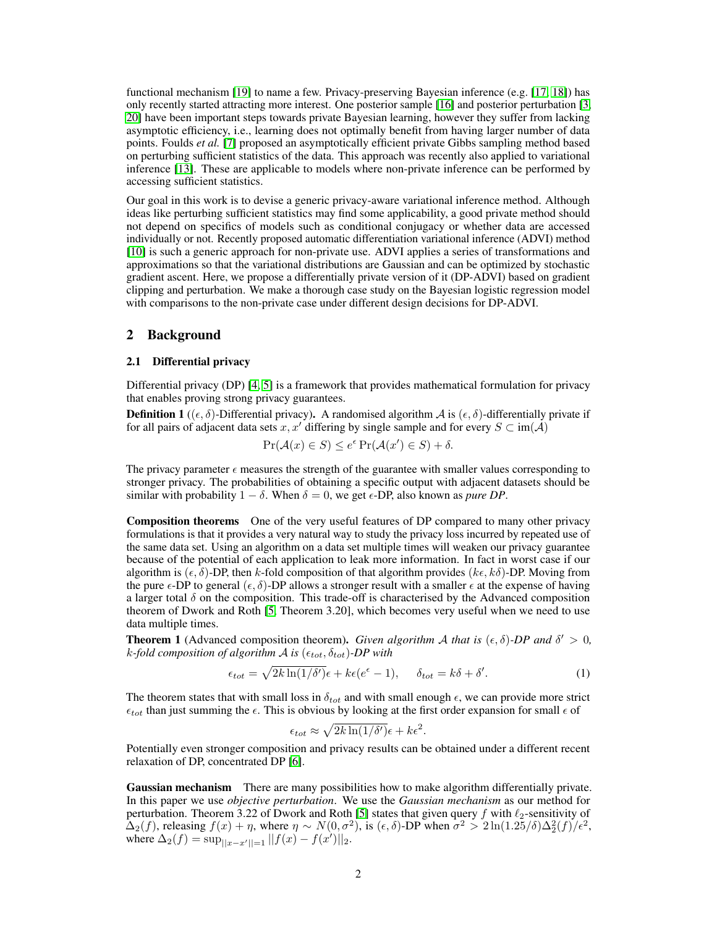functional mechanism [\[19\]](#page-4-3) to name a few. Privacy-preserving Bayesian inference (e.g. [\[17,](#page-4-4) [18\]](#page-4-5)) has only recently started attracting more interest. One posterior sample [\[16\]](#page-4-6) and posterior perturbation [\[3,](#page-4-7) [20\]](#page-4-8) have been important steps towards private Bayesian learning, however they suffer from lacking asymptotic efficiency, i.e., learning does not optimally benefit from having larger number of data points. Foulds *et al.* [\[7\]](#page-4-9) proposed an asymptotically efficient private Gibbs sampling method based on perturbing sufficient statistics of the data. This approach was recently also applied to variational inference [\[13\]](#page-4-10). These are applicable to models where non-private inference can be performed by accessing sufficient statistics.

Our goal in this work is to devise a generic privacy-aware variational inference method. Although ideas like perturbing sufficient statistics may find some applicability, a good private method should not depend on specifics of models such as conditional conjugacy or whether data are accessed individually or not. Recently proposed automatic differentiation variational inference (ADVI) method [\[10\]](#page-4-11) is such a generic approach for non-private use. ADVI applies a series of transformations and approximations so that the variational distributions are Gaussian and can be optimized by stochastic gradient ascent. Here, we propose a differentially private version of it (DP-ADVI) based on gradient clipping and perturbation. We make a thorough case study on the Bayesian logistic regression model with comparisons to the non-private case under different design decisions for DP-ADVI.

## 2 Background

#### 2.1 Differential privacy

Differential privacy (DP) [\[4,](#page-4-0) [5\]](#page-4-1) is a framework that provides mathematical formulation for privacy that enables proving strong privacy guarantees.

**Definition 1** (( $\epsilon$ ,  $\delta$ )-Differential privacy). A randomised algorithm A is ( $\epsilon$ ,  $\delta$ )-differentially private if for all pairs of adjacent data sets x, x' differing by single sample and for every  $S \subset \text{im}(\mathcal{A})$ 

$$
\Pr(\mathcal{A}(x) \in S) \le e^{\epsilon} \Pr(\mathcal{A}(x') \in S) + \delta.
$$

The privacy parameter  $\epsilon$  measures the strength of the guarantee with smaller values corresponding to stronger privacy. The probabilities of obtaining a specific output with adjacent datasets should be similar with probability  $1 - \delta$ . When  $\delta = 0$ , we get  $\epsilon$ -DP, also known as *pure DP*.

Composition theorems One of the very useful features of DP compared to many other privacy formulations is that it provides a very natural way to study the privacy loss incurred by repeated use of the same data set. Using an algorithm on a data set multiple times will weaken our privacy guarantee because of the potential of each application to leak more information. In fact in worst case if our algorithm is  $(\epsilon, \delta)$ -DP, then k-fold composition of that algorithm provides  $(k\epsilon, k\delta)$ -DP. Moving from the pure  $\epsilon$ -DP to general  $(\epsilon, \delta)$ -DP allows a stronger result with a smaller  $\epsilon$  at the expense of having a larger total  $\delta$  on the composition. This trade-off is characterised by the Advanced composition theorem of Dwork and Roth [\[5,](#page-4-1) Theorem 3.20], which becomes very useful when we need to use data multiple times.

**Theorem 1** (Advanced composition theorem). *Given algorithm A that is*  $(\epsilon, \delta)$ -*DP and*  $\delta' > 0$ ,  $k$ -fold composition of algorithm  $A$  is  $(\epsilon_{tot}, \delta_{tot})$ -DP with

$$
\epsilon_{tot} = \sqrt{2k \ln(1/\delta')} \epsilon + k\epsilon(e^{\epsilon} - 1), \quad \delta_{tot} = k\delta + \delta'. \tag{1}
$$

The theorem states that with small loss in  $\delta_{tot}$  and with small enough  $\epsilon$ , we can provide more strict  $\epsilon_{tot}$  than just summing the  $\epsilon$ . This is obvious by looking at the first order expansion for small  $\epsilon$  of

$$
\epsilon_{tot} \approx \sqrt{2k \ln(1/\delta')} \epsilon + k\epsilon^2.
$$

Potentially even stronger composition and privacy results can be obtained under a different recent relaxation of DP, concentrated DP [\[6\]](#page-4-12).

Gaussian mechanism There are many possibilities how to make algorithm differentially private. In this paper we use *objective perturbation*. We use the *Gaussian mechanism* as our method for perturbation. Theorem 3.22 of Dwork and Roth [\[5\]](#page-4-1) states that given query f with  $\ell_2$ -sensitivity of  $\Delta_2(f)$ , releasing  $f(x) + \eta$ , where  $\eta \sim N(0, \sigma^2)$ , is  $(\epsilon, \delta)$ -DP when  $\sigma^2 > 2 \ln(1.25/\delta) \Delta_2^2(f)/\epsilon^2$ , where  $\Delta_2(f) = \sup_{\vert x-x'\vert \vert = 1} \vert |f(x) - f(x')||_2$ .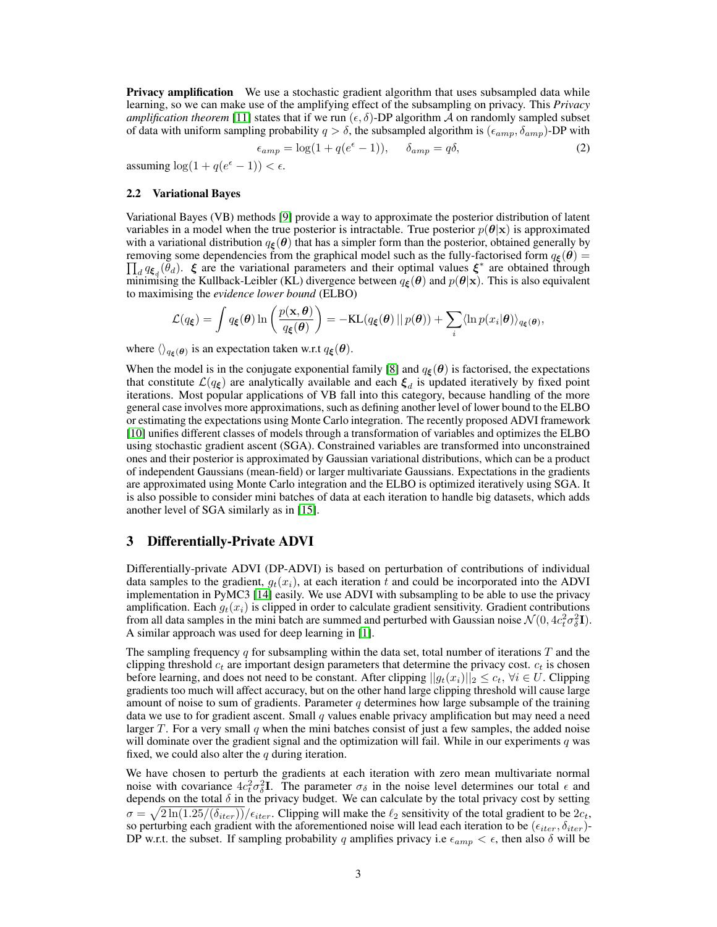**Privacy amplification** We use a stochastic gradient algorithm that uses subsampled data while learning, so we can make use of the amplifying effect of the subsampling on privacy. This *Privacy amplification theorem* [\[11\]](#page-4-13) states that if we run  $(\epsilon, \delta)$ -DP algorithm A on randomly sampled subset of data with uniform sampling probability  $q > \delta$ , the subsampled algorithm is  $(\epsilon_{amp}, \delta_{amp})$ -DP with

$$
\epsilon_{amp} = \log(1 + q(e^{\epsilon} - 1)), \quad \delta_{amp} = q\delta,
$$
\n(2)

assuming  $\log(1 + q(e^{\epsilon} - 1)) < \epsilon$ .

#### 2.2 Variational Bayes

Variational Bayes (VB) methods [\[9\]](#page-4-14) provide a way to approximate the posterior distribution of latent variables in a model when the true posterior is intractable. True posterior  $p(\theta|\mathbf{x})$  is approximated with a variational distribution  $q_{\xi}(\theta)$  that has a simpler form than the posterior, obtained generally by removing some dependencies from the graphical model such as the fully-factorised form  $q_{\xi}(\theta) =$  $\prod_d q_{\xi_d}(\tilde{\theta}_d)$ .  $\xi$  are the variational parameters and their optimal values  $\xi^*$  are obtained through minimising the Kullback-Leibler (KL) divergence between  $q_{\xi}(\theta)$  and  $p(\theta|x)$ . This is also equivalent to maximising the *evidence lower bound* (ELBO)

$$
\mathcal{L}(q_{\xi}) = \int q_{\xi}(\boldsymbol{\theta}) \ln \left( \frac{p(\mathbf{x}, \boldsymbol{\theta})}{q_{\xi}(\boldsymbol{\theta})} \right) = -\mathrm{KL}(q_{\xi}(\boldsymbol{\theta}) || p(\boldsymbol{\theta})) + \sum_i \langle \ln p(x_i | \boldsymbol{\theta}) \rangle_{q_{\xi}(\boldsymbol{\theta})},
$$

where  $\langle \rangle_{q\xi(\theta)}$  is an expectation taken w.r.t  $q\xi(\theta)$ .

When the model is in the conjugate exponential family [\[8\]](#page-4-15) and  $q_{\epsilon}(\theta)$  is factorised, the expectations that constitute  $\mathcal{L}(q_{\xi})$  are analytically available and each  $\xi_d$  is updated iteratively by fixed point iterations. Most popular applications of VB fall into this category, because handling of the more general case involves more approximations, such as defining another level of lower bound to the ELBO or estimating the expectations using Monte Carlo integration. The recently proposed ADVI framework [\[10\]](#page-4-11) unifies different classes of models through a transformation of variables and optimizes the ELBO using stochastic gradient ascent (SGA). Constrained variables are transformed into unconstrained ones and their posterior is approximated by Gaussian variational distributions, which can be a product of independent Gaussians (mean-field) or larger multivariate Gaussians. Expectations in the gradients are approximated using Monte Carlo integration and the ELBO is optimized iteratively using SGA. It is also possible to consider mini batches of data at each iteration to handle big datasets, which adds another level of SGA similarly as in [\[15\]](#page-4-16).

## 3 Differentially-Private ADVI

Differentially-private ADVI (DP-ADVI) is based on perturbation of contributions of individual data samples to the gradient,  $g_t(x_i)$ , at each iteration t and could be incorporated into the ADVI implementation in PyMC3 [\[14\]](#page-4-17) easily. We use ADVI with subsampling to be able to use the privacy amplification. Each  $g_t(x_i)$  is clipped in order to calculate gradient sensitivity. Gradient contributions from all data samples in the mini batch are summed and perturbed with Gaussian noise  $\mathcal{N}(0, 4c_t^2 \sigma_{\delta}^2 \mathbf{I})$ . A similar approach was used for deep learning in [\[1\]](#page-4-18).

The sampling frequency  $q$  for subsampling within the data set, total number of iterations  $T$  and the clipping threshold  $c_t$  are important design parameters that determine the privacy cost.  $c_t$  is chosen before learning, and does not need to be constant. After clipping  $||g_t(x_i)||_2 \leq c_t$ ,  $\forall i \in U$ . Clipping gradients too much will affect accuracy, but on the other hand large clipping threshold will cause large amount of noise to sum of gradients. Parameter q determines how large subsample of the training data we use to for gradient ascent. Small q values enable privacy amplification but may need a need larger T. For a very small q when the mini batches consist of just a few samples, the added noise will dominate over the gradient signal and the optimization will fail. While in our experiments q was fixed, we could also alter the  $q$  during iteration.

We have chosen to perturb the gradients at each iteration with zero mean multivariate normal noise with covariance  $4c_t^2\sigma_\delta^2\mathbf{I}$ . The parameter  $\sigma_\delta$  in the noise level determines our total  $\epsilon$  and depends on the total  $\delta$  in the privacy budget. We can calculate by the total privacy cost by setting  $\sigma = \sqrt{2 \ln(1.25/(\delta_{iter}))}/\epsilon_{iter}$ . Clipping will make the  $\ell_2$  sensitivity of the total gradient to be  $2c_t$ , so perturbing each gradient with the aforementioned noise will lead each iteration to be  $(\epsilon_{iter}, \delta_{iter})$ -DP w.r.t. the subset. If sampling probability q amplifies privacy i.e  $\epsilon_{amp} < \epsilon$ , then also  $\delta$  will be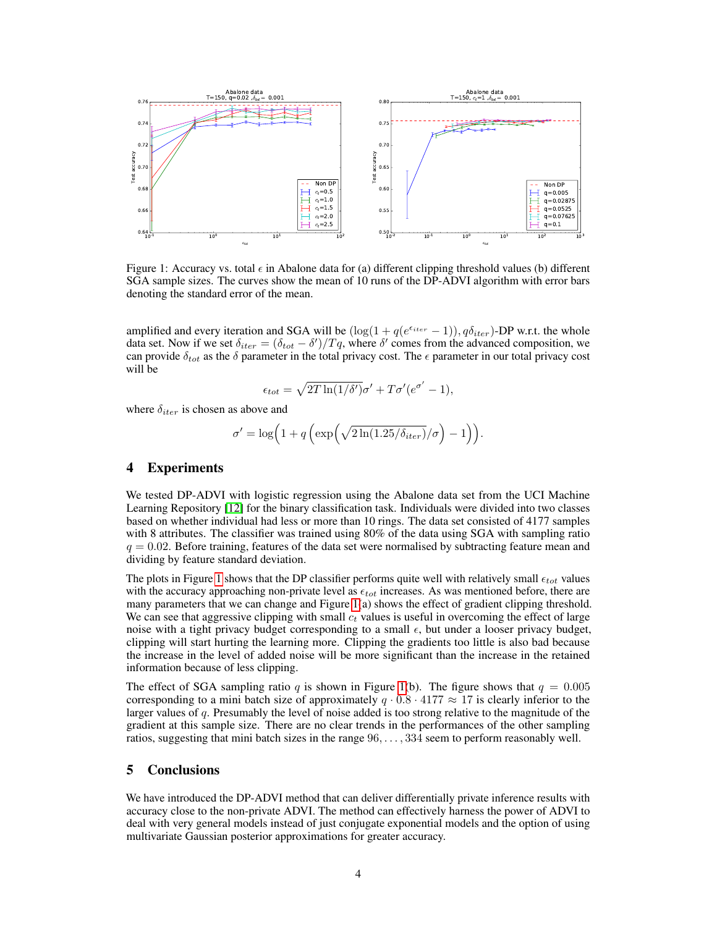

<span id="page-3-0"></span>Figure 1: Accuracy vs. total  $\epsilon$  in Abalone data for (a) different clipping threshold values (b) different SGA sample sizes. The curves show the mean of 10 runs of the DP-ADVI algorithm with error bars denoting the standard error of the mean.

amplified and every iteration and SGA will be  $(\log(1 + q(e^{\epsilon_{iter}} - 1)), q\delta_{iter})$ -DP w.r.t. the whole data set. Now if we set  $\delta_{iter} = (\delta_{tot} - \delta')/Tq$ , where  $\delta'$  comes from the advanced composition, we can provide  $\delta_{tot}$  as the  $\delta$  parameter in the total privacy cost. The  $\epsilon$  parameter in our total privacy cost will be

$$
\epsilon_{tot} = \sqrt{2T \ln(1/\delta')} \sigma' + T\sigma' (e^{\sigma'} - 1),
$$

where  $\delta_{iter}$  is chosen as above and

$$
\sigma' = \log\Big(1 + q\left(\exp\Big(\sqrt{2\ln(1.25/\delta_{iter})}/\sigma\Big) - 1\right)\Big).
$$

## 4 Experiments

We tested DP-ADVI with logistic regression using the Abalone data set from the UCI Machine Learning Repository [\[12\]](#page-4-19) for the binary classification task. Individuals were divided into two classes based on whether individual had less or more than 10 rings. The data set consisted of 4177 samples with 8 attributes. The classifier was trained using 80% of the data using SGA with sampling ratio  $q = 0.02$ . Before training, features of the data set were normalised by subtracting feature mean and dividing by feature standard deviation.

The plots in Figure [1](#page-3-0) shows that the DP classifier performs quite well with relatively small  $\epsilon_{tot}$  values with the accuracy approaching non-private level as  $\epsilon_{tot}$  increases. As was mentioned before, there are many parameters that we can change and Figure [1\(](#page-3-0)a) shows the effect of gradient clipping threshold. We can see that aggressive clipping with small  $c_t$  values is useful in overcoming the effect of large noise with a tight privacy budget corresponding to a small  $\epsilon$ , but under a looser privacy budget, clipping will start hurting the learning more. Clipping the gradients too little is also bad because the increase in the level of added noise will be more significant than the increase in the retained information because of less clipping.

The effect of SGA sampling ratio q is shown in Figure [1\(](#page-3-0)b). The figure shows that  $q = 0.005$ corresponding to a mini batch size of approximately  $q \cdot 0.8 \cdot 4177 \approx 17$  is clearly inferior to the larger values of q. Presumably the level of noise added is too strong relative to the magnitude of the gradient at this sample size. There are no clear trends in the performances of the other sampling ratios, suggesting that mini batch sizes in the range 96, . . . , 334 seem to perform reasonably well.

# 5 Conclusions

We have introduced the DP-ADVI method that can deliver differentially private inference results with accuracy close to the non-private ADVI. The method can effectively harness the power of ADVI to deal with very general models instead of just conjugate exponential models and the option of using multivariate Gaussian posterior approximations for greater accuracy.